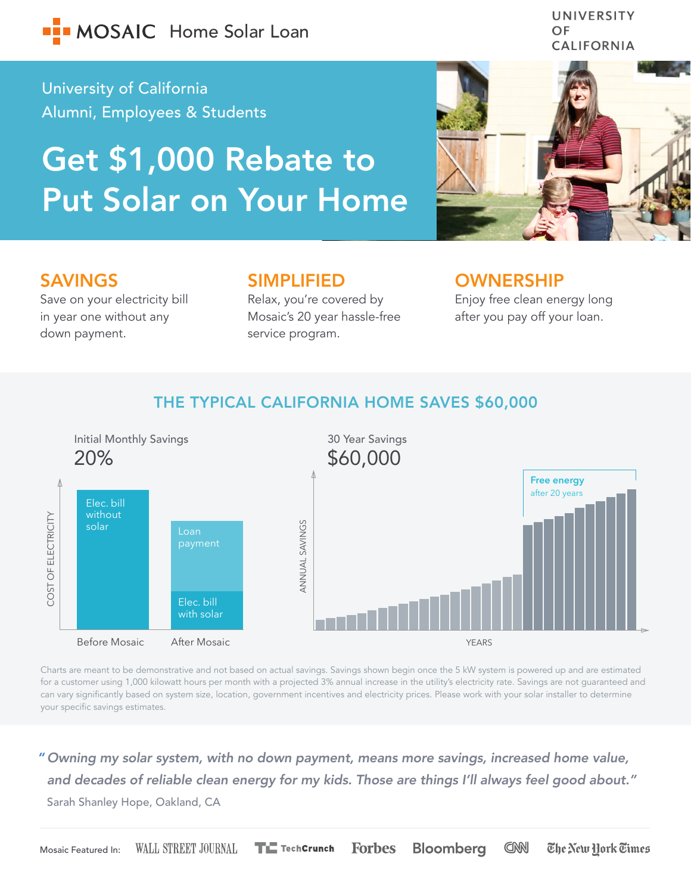

University of California Alumni, Employees & Students

# Get \$1,000 Rebate to Put Solar on Your Home



OF

UNIVERSITY

# SAVINGS

Save on your electricity bill in year one without any down payment.

## SIMPLIFIED

Relax, you're covered by Mosaic's 20 year hassle-free service program.

### OWNERSHIP

Enjoy free clean energy long after you pay off your loan.

# THE TYPICAL CALIFORNIA HOME SAVES \$60,000



Charts are meant to be demonstrative and not based on actual savings. Savings shown begin once the 5 kW system is powered up and are estimated for a customer using 1,000 kilowatt hours per month with a projected 3% annual increase in the utility's electricity rate. Savings are not guaranteed and can vary significantly based on system size, location, government incentives and electricity prices. Please work with your solar installer to determine your specific savings estimates.

*Owning my solar system, with no down payment, means more savings, increased home value, " and decades of reliable clean energy for my kids. Those are things I'll always feel good about."* Sarah Shanley Hope, Oakland, CA